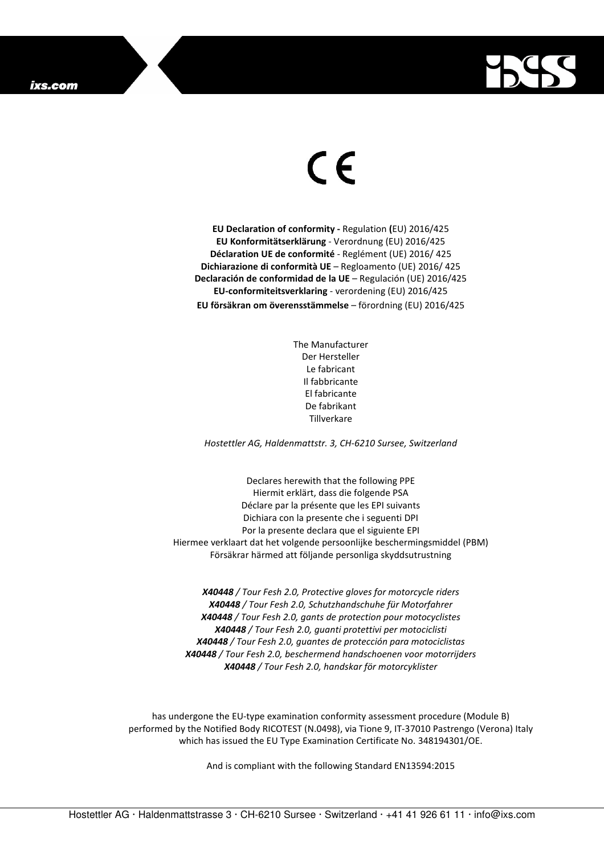

## $\in$

**EU Declaration of conformity -** Regulation **(**EU) 2016/425 **EU Konformitätserklärung** - Verordnung (EU) 2016/425 **Déclaration UE de conformité** - Reglément (UE) 2016/ 425 **Dichiarazione di conformità UE** – Regloamento (UE) 2016/ 425 **Declaración de conformidad de la UE** – Regulación (UE) 2016/425 **EU-conformiteitsverklaring** - verordening (EU) 2016/425 **EU försäkran om överensstämmelse** – förordning (EU) 2016/425

> The Manufacturer Der Hersteller Le fabricant Il fabbricante El fabricante De fabrikant Tillverkare

*Hostettler AG, Haldenmattstr. 3, CH-6210 Sursee, Switzerland* 

Declares herewith that the following PPE Hiermit erklärt, dass die folgende PSA Déclare par la présente que les EPI suivants Dichiara con la presente che i seguenti DPI Por la presente declara que el siguiente EPI Hiermee verklaart dat het volgende persoonlijke beschermingsmiddel (PBM) Försäkrar härmed att följande personliga skyddsutrustning

*X40448 / Tour Fesh 2.0, Protective gloves for motorcycle riders X40448 / Tour Fesh 2.0, Schutzhandschuhe für Motorfahrer X40448 / Tour Fesh 2.0, gants de protection pour motocyclistes X40448 / Tour Fesh 2.0, guanti protettivi per motociclisti X40448 / Tour Fesh 2.0, guantes de protección para motociclistas X40448 / Tour Fesh 2.0, beschermend handschoenen voor motorrijders X40448 / Tour Fesh 2.0, handskar för motorcyklister* 

has undergone the EU-type examination conformity assessment procedure (Module B) performed by the Notified Body RICOTEST (N.0498), via Tione 9, IT-37010 Pastrengo (Verona) Italy which has issued the EU Type Examination Certificate No. 348194301/OE.

And is compliant with the following Standard EN13594:2015